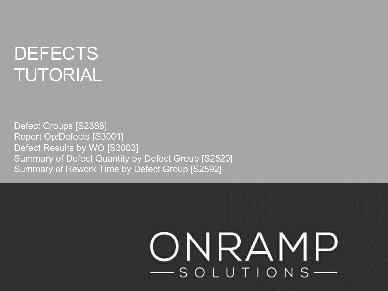## **DEFECTS** TUTORIAL

Defect Groups [S2388] Report Op/Defects [S3001] Defect Results by WO [S3003] Summary of Defect Quantity by Defect Group [S2520] Summary of Rework Time by Defect Group [S2592]

# ONRAMP -SOLUTIONS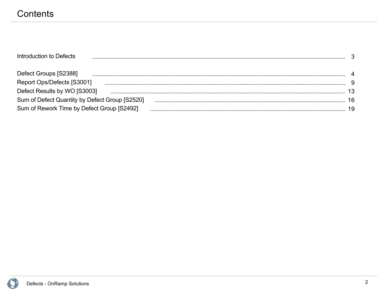### Contents

| Introduction to Defects                        |  |
|------------------------------------------------|--|
| Defect Groups [S2388]                          |  |
| Report Ops/Defects [S3001]                     |  |
| Defect Results by WO [S3003]                   |  |
| Sum of Defect Quantity by Defect Group [S2520] |  |
| Sum of Rework Time by Defect Group [S2492]     |  |

O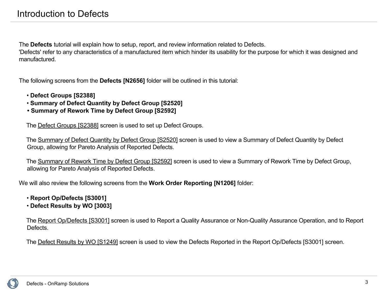The **Defects** tutorial will explain how to setup, report, and review information related to Defects.

'Defects' refer to any characteristics of a manufactured item which hinder its usability for the purpose for which it was designed and manufactured.

The following screens from the **Defects [N2656]** folder will be outlined in this tutorial:

- **Defect Groups [S2388]**
- **Summary of Defect Quantity by Defect Group [S2520]**
- **• Summary of Rework Time by Defect Group [S2592]**

The Defect Groups [S2388] screen is used to set up Defect Groups.

 The Summary of Defect Quantity by Defect Group [S2520] screen is used to view a Summary of Defect Quantity by Defect Group, allowing for Pareto Analysis of Reported Defects.

 The Summary of Rework Time by Defect Group [S2592] screen is used to view a Summary of Rework Time by Defect Group, allowing for Pareto Analysis of Reported Defects.

We will also review the following screens from the **Work Order Reporting [N1206]** folder:

- **Report Op/Defects [S3001]**
- **Defect Results by WO [3003]**

 The Report Op/Defects [S3001] screen is used to Report a Quality Assurance or Non-Quality Assurance Operation, and to Report Defects.

The Defect Results by WO [S1249] screen is used to view the Defects Reported in the Report Op/Defects [S3001] screen.

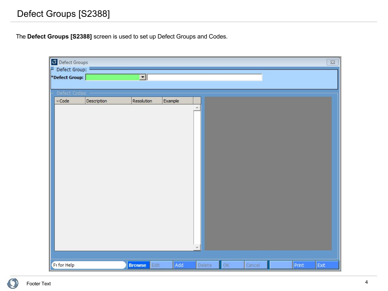#### Front Back Defect Groups [S2388]

The **Defect Groups [S2388]** screen is used to set up Defect Groups and Codes.

| <b>O</b> Defect Groups |             |                         |         |        |    |        |       | $\Sigma\!3$ |
|------------------------|-------------|-------------------------|---------|--------|----|--------|-------|-------------|
| P Defect Group:        |             |                         |         |        |    |        |       |             |
| Defect Group:          |             | $\overline{\mathbf{r}}$ |         |        |    |        |       |             |
|                        |             |                         |         |        |    |        |       |             |
| Defect Codes:          |             |                         |         |        |    |        |       |             |
| $\prec$ Code           | Description | Resolution              | Example |        |    |        |       |             |
|                        |             |                         |         |        |    |        |       |             |
|                        |             |                         |         |        |    |        |       |             |
|                        |             |                         |         |        |    |        |       |             |
|                        |             |                         |         |        |    |        |       |             |
|                        |             |                         |         |        |    |        |       |             |
|                        |             |                         |         |        |    |        |       |             |
|                        |             |                         |         |        |    |        |       |             |
|                        |             |                         |         |        |    |        |       |             |
|                        |             |                         |         |        |    |        |       |             |
|                        |             |                         |         |        |    |        |       |             |
|                        |             |                         |         |        |    |        |       |             |
|                        |             |                         |         |        |    |        |       |             |
|                        |             |                         |         |        |    |        |       |             |
|                        |             |                         |         |        |    |        |       |             |
|                        |             |                         |         |        |    |        |       |             |
|                        |             |                         |         |        |    |        |       |             |
|                        |             |                         |         |        |    |        |       |             |
|                        |             |                         |         |        |    |        |       |             |
|                        |             |                         |         |        |    |        |       |             |
|                        |             |                         |         |        |    |        |       |             |
| F1 for Help            |             | <b>Browse</b><br>Edit   | Add     | Delete | OK | Cancel | Print | Exit        |

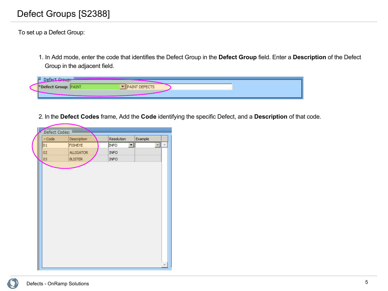#### Front Back Defect Groups [S2388]

To set up a Defect Group:

1. In Add mode, enter the code that identifies the Defect Group in the **Defect Group** field. Enter a **Description** of the Defect Group in the adjacent field.

| Defect Group:              |                |
|----------------------------|----------------|
| <b>BEFECT Group: PAINT</b> | <b>DEFECTS</b> |
|                            |                |

2. In the **Defect Codes** frame, Add the **Code** identifying the specific Defect, and a **Description** of that code.

| $\sim$ Code | Description      | Resolution  | Example |                          |
|-------------|------------------|-------------|---------|--------------------------|
| 01          | <b>FISHEYE</b>   | <b>INFO</b> | ▼       | $\overline{\phantom{a}}$ |
| 02          | <b>ALLIGATOR</b> | <b>INFO</b> |         |                          |
| 03          | <b>BLISTER</b>   | <b>INFO</b> |         |                          |
|             |                  |             |         |                          |
|             |                  |             |         |                          |
|             |                  |             |         |                          |
|             |                  |             |         |                          |
|             |                  |             |         |                          |
|             |                  |             |         |                          |
|             |                  |             |         |                          |
|             |                  |             |         |                          |
|             |                  |             |         |                          |
|             |                  |             |         |                          |
|             |                  |             |         |                          |
|             |                  |             |         |                          |
|             |                  |             |         |                          |
|             |                  |             |         |                          |
|             |                  |             |         |                          |

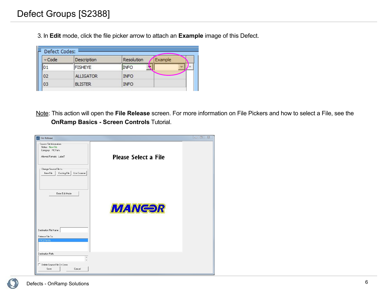3. In **Edit** mode, click the file picker arrow to attach an **Example** image of this Defect.

| Code | Description      | <b>Resolution</b> | Example |
|------|------------------|-------------------|---------|
| 01   | <b>FISHEYE</b>   | <b>INFO</b>       |         |
| 02   | <b>ALLIGATOR</b> | <b>INFO</b>       |         |
| 03   | <b>BLISTER</b>   | <b>INFO</b>       |         |

Note: This action will open the **File Release** screen. For more information on File Pickers and how to select a File, see the **OnRamp Basics - Screen Controls** Tutorial.

| File Release                                                                                  |                             | $\Sigma$<br>$\Box$<br>$\qquad \qquad \Box$ |
|-----------------------------------------------------------------------------------------------|-----------------------------|--------------------------------------------|
| Source File Information-<br>Status: New File<br>Category: PICParts<br>Allowed Formats: Label7 | <b>Please Select a File</b> |                                            |
| Change Source File to:<br>New File<br>Use Scanner<br>Existing File                            |                             |                                            |
| Enter Edit Mode                                                                               |                             |                                            |
|                                                                                               | <b>MANGOR</b>               |                                            |
| Destination File Name:                                                                        |                             |                                            |
| Release File To:<br>PIC\Parts\                                                                |                             |                                            |
| Destination Path:                                                                             |                             |                                            |
| Delete Source File On Save                                                                    |                             |                                            |
| Save<br>Cancel                                                                                |                             |                                            |

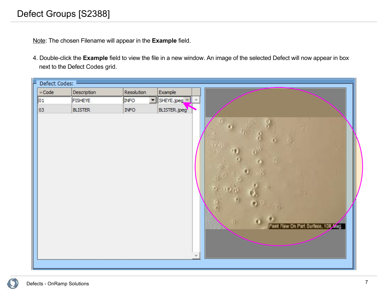#### Front Back Defect Groups [S2388]

Note: The chosen Filename will appear in the **Example** field.

4. Double-click the **Example** field to view the file in a new window. An image of the selected Defect will now appear in box next to the Defect Codes grid.

| Defect Codes: |                |                                    |              |  |
|---------------|----------------|------------------------------------|--------------|--|
| $\prec$ Code  | Description    | Resolution                         | Example      |  |
| 01            | <b>FISHEYE</b> | $\vert \cdot \vert$<br><b>INFO</b> | SHEYE.jpeg   |  |
| 03            | <b>BLISTER</b> | <b>INFO</b>                        | BLISTER.jpeg |  |
|               |                |                                    |              |  |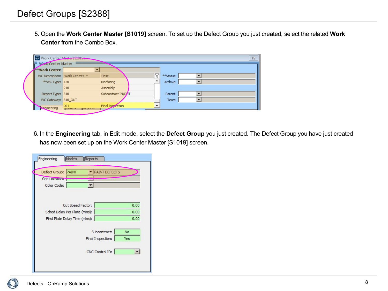5. Open the **Work Center Master [S1019]** screen. To set up the Defect Group you just created, select the related **Work Center** from the Combo Box.

| Work Center Master [51019]<br><b>Work Center Master</b> |                                           |                    |           | $\Sigma$ |
|---------------------------------------------------------|-------------------------------------------|--------------------|-----------|----------|
| **Work Center:                                          |                                           |                    |           |          |
|                                                         | WC Description:   Work Centre: $\sqrt{ }$ | Desc               | **Status: |          |
| ** WC Type: 150                                         |                                           | Machining          | Archive:  |          |
|                                                         | 210                                       | Assembly           |           |          |
| Report Type: 310                                        |                                           | Subcontract IN/QUT | Parent:   |          |
| WC Gateway: 310_OUT                                     |                                           |                    | Team:     |          |
| <b>Spaineering</b>                                      | 901<br>moncial<br><b>Ilizabarra</b>       | Final Inspection   |           |          |

6. In the **Engineering** tab, in Edit mode, select the **Defect Group** you just created. The Defect Group you have just created has now been set up on the Work Center Master [S1019] screen.

| Models<br>Reports<br>Engineering                     |                                                       |  |  |  |  |
|------------------------------------------------------|-------------------------------------------------------|--|--|--|--|
| Defect Group: PAINT<br>Grid Location:<br>Color Code: | PAINT DEFECTS                                         |  |  |  |  |
| Cut Speed Factor:                                    | 0.00                                                  |  |  |  |  |
| Sched Delay Per Plate (mins):                        | 0.00                                                  |  |  |  |  |
| First Plate Delay Time (mins):                       | 0.00                                                  |  |  |  |  |
|                                                      | Subcontract:<br><b>No</b><br>Final Inspection:<br>Yes |  |  |  |  |
| CNC Control ID:                                      |                                                       |  |  |  |  |
|                                                      |                                                       |  |  |  |  |

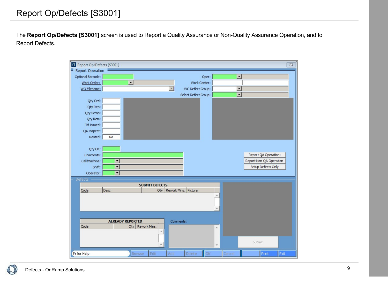The **Report Op/Defects [S3001]** screen is used to Report a Quality Assurance or Non-Quality Assurance Operation, and to Report Defects.

| Report Op/Defects [S3001] |                          |                          |                                       |                      |                          |                         | $\Sigma\!$ |
|---------------------------|--------------------------|--------------------------|---------------------------------------|----------------------|--------------------------|-------------------------|------------|
| Report Operation          |                          |                          |                                       |                      |                          |                         |            |
| Optional Barcode:         |                          |                          |                                       | Oper:                | $\overline{\phantom{a}}$ |                         |            |
| Work Order:               |                          | $\overline{\phantom{a}}$ |                                       | Work Center:         |                          |                         |            |
| WO Filename:              |                          |                          | $\overline{\mathbf{v}}$               | WC Defect Group:     | $\overline{\phantom{0}}$ |                         |            |
|                           |                          |                          |                                       | Select Defect Group: | $\overline{\phantom{a}}$ |                         |            |
| Qty Ord:                  |                          |                          |                                       |                      |                          |                         |            |
| Qty Rep:                  |                          |                          |                                       |                      |                          |                         |            |
| Qty Scrap:                |                          |                          |                                       |                      |                          |                         |            |
| Qty Rem:                  |                          |                          |                                       |                      |                          |                         |            |
| Ttl Issued:               |                          |                          |                                       |                      |                          |                         |            |
| QA Inspect:               |                          |                          |                                       |                      |                          |                         |            |
| Nested:                   | No                       |                          |                                       |                      |                          |                         |            |
|                           |                          |                          |                                       |                      |                          |                         |            |
| Qty OK:                   |                          |                          |                                       |                      |                          |                         |            |
| Comments:                 |                          |                          |                                       |                      |                          | Report QA Operation:    |            |
| Cell/Machine:             | $\overline{\phantom{a}}$ |                          |                                       |                      |                          | Report Non-QA Operation |            |
| Shift:                    | $\overline{\phantom{a}}$ |                          |                                       |                      |                          | Setup Defects Only      |            |
| Operator:                 | $\blacksquare$           |                          |                                       |                      |                          |                         |            |
| Defects                   |                          |                          |                                       |                      |                          |                         |            |
|                           | Desc                     |                          | <b>SUBMIT DEFECTS</b><br>Rework Mins. | Picture              |                          |                         |            |
| Code                      |                          |                          | Qty                                   |                      |                          |                         |            |
|                           |                          |                          |                                       |                      |                          |                         |            |
|                           |                          |                          |                                       |                      |                          |                         |            |
|                           |                          |                          |                                       |                      |                          |                         |            |
|                           |                          | <b>ALREADY REPORTED</b>  |                                       | Comments:            |                          |                         |            |
| Code                      |                          | Qty                      | Rework Mins.                          |                      | $\blacktriangle$         |                         |            |
|                           |                          |                          |                                       |                      |                          |                         |            |
|                           |                          |                          |                                       |                      |                          |                         |            |
|                           |                          |                          |                                       |                      | ÷                        | Submit                  |            |
| F <sub>1</sub> for Help   |                          | Browse                   | Edit<br>Add                           | OK<br>Delete         | Cancel                   | Print<br>Exit           |            |
|                           |                          |                          |                                       |                      |                          |                         |            |

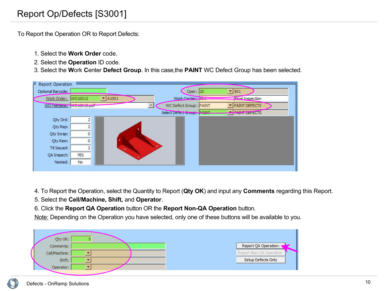#### Front Back Report Op/Defects [S3001]

To Report the Operation OR to Report Defects:

- 1. Select the **Work Order** code.
- 2. Select the **Operation** ID code.
- 3. Select the **W**ork **C**enter **Defect Group**. In this case,the **PAINT** WC Defect Group has been selected.

| Report Operation<br>н    |                |                            |   |                            |                          |  |
|--------------------------|----------------|----------------------------|---|----------------------------|--------------------------|--|
| Optional Barcode:        |                |                            |   | Oper: 20                   | $\blacktriangledown$ 901 |  |
| Work Order: WO10012      |                | $\blacktriangledown$ A1001 |   | Work Center: 1991          | <b>Final Inspection</b>  |  |
| WO Filename: WO10012.pdf |                |                            |   | WC Defect Group: PAINT     | <b>PAINT DEFECTS</b>     |  |
|                          |                |                            |   | Select Defect Group: PAINT | <b>PAINT DEFECTS</b>     |  |
| Qty Ord:                 | 2              |                            |   |                            |                          |  |
| Qty Rep:                 | $\overline{2}$ |                            |   |                            |                          |  |
| Qty Scrap:               | 0              |                            |   |                            |                          |  |
| Qty Rem:                 | 0              |                            |   |                            |                          |  |
| Ttl Issued:              |                |                            | ٠ |                            |                          |  |
| QA Inspect:              | <b>YES</b>     |                            |   |                            |                          |  |
| Nested:                  | No             |                            |   |                            |                          |  |
|                          |                |                            |   |                            |                          |  |

- 4. To Report the Operation, select the Quantity to Report (**Qty OK**) and input any **Comments** regarding this Report.
- 5. Select the **Cell/Machine, Shift,** and **Operator**.
- 6. Click the **Report QA Operation** button OR the **Report Non-QA Operation** button.

Note: Depending on the Operation you have selected, only one of these buttons will be available to you.



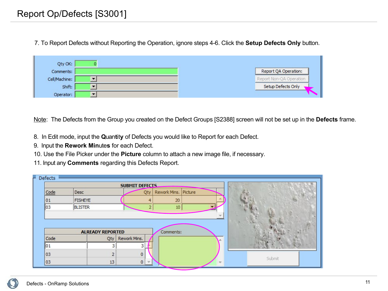7. To Report Defects without Reporting the Operation, ignore steps 4-6. Click the **Setup Defects Only** button.

| Qty OK:       |                         |
|---------------|-------------------------|
| Comments:     | Report QA Operation:    |
| Cell/Machine: | Report Non-QA Operation |
| Shift:        | Setup Defects Only      |
| Operator:     |                         |

Note: The Defects from the Group you created on the Defect Groups [S2388] screen will not be set up in the **Defects** frame.

- 8. In Edit mode, input the **Q**uan**t**it**y** of Defects you would like to Report for each Defect.
- 9. Input the **Rework Min**ute**s** for each Defect.
- 10. Use the File Picker under the **Picture** column to attach a new image file, if necessary.
- 11. Input any **Comments** regarding this Defects Report.

| Defects |                |                         |                       |     |                         |        |
|---------|----------------|-------------------------|-----------------------|-----|-------------------------|--------|
|         |                |                         | <b>SUBMIT DEFECTS</b> |     |                         |        |
| Code    | Desc           |                         |                       | Qty | Rework Mins.<br>Picture |        |
| 01      | <b>FISHEYE</b> |                         |                       |     | 20                      |        |
| 03      | <b>BLISTER</b> |                         |                       | 2   | $10$                    |        |
|         |                |                         |                       |     |                         |        |
|         |                |                         |                       |     |                         |        |
|         |                |                         |                       |     |                         |        |
|         |                |                         |                       |     |                         |        |
|         |                | <b>ALREADY REPORTED</b> |                       |     | Comments:               |        |
| Code    |                | Qty                     | Rework Mins.          |     |                         |        |
| 101     |                | З                       |                       |     |                         |        |
| 03      |                | $\overline{2}$          |                       | 0   |                         | Submit |

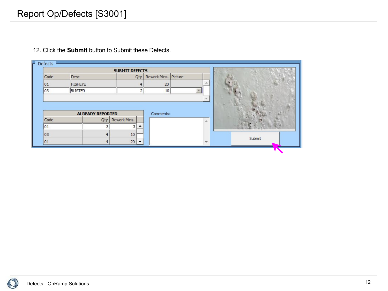|  |  |  |  | 12. Click the <b>Submit</b> button to Submit these Defects. |  |  |
|--|--|--|--|-------------------------------------------------------------|--|--|
|--|--|--|--|-------------------------------------------------------------|--|--|

|      |                         |     | <b>SUBMIT DEFECTS</b> |                |                      |    |        |
|------|-------------------------|-----|-----------------------|----------------|----------------------|----|--------|
| Code | Desc                    |     |                       | Qty            | Rework Mins. Picture |    |        |
| 01   | <b>FISHEYE</b>          |     |                       | 4              | 20                   |    |        |
| 03   | <b>BLISTER</b>          |     |                       | $\overline{2}$ | 10                   |    |        |
|      |                         |     |                       |                |                      |    |        |
|      | <b>ALREADY REPORTED</b> |     |                       |                | Comments:            |    |        |
| Code |                         | Qty | Rework Mins.          |                |                      | ×. |        |
| 01   |                         |     | 3                     |                |                      |    |        |
| 03   |                         | 4   | 10                    |                |                      |    | Submit |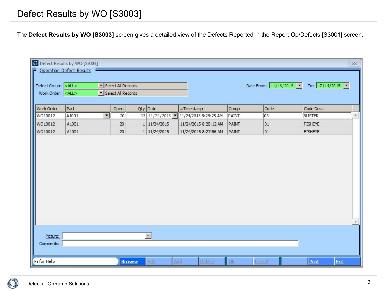#### Front Back Defect Results by WO [S3003]

The **Defect Results by WO [S3003]** screen gives a detailed view of the Defects Reported in the Report Op/Defects [S3001] screen.

| Defect Group: <all><br/>Work Order: <all></all></all> | <b>EP</b> Defect Results by WO [S3003]<br>Operation Defect Results | Select All Records<br>Select All Records |                          |                                     |       | Date From: $11/16/2015$ | To: $12/14/2015$ | $\Sigma\!$ |
|-------------------------------------------------------|--------------------------------------------------------------------|------------------------------------------|--------------------------|-------------------------------------|-------|-------------------------|------------------|------------|
| Work Order                                            | Part                                                               | Oper.                                    | Qty Date                 | $\triangle$ Timestamp               | Group | Code                    | Code Desc.       |            |
| WO10012                                               | A1001<br>$\blacktriangledown$                                      | 20                                       |                          | 13 11/24/2015 11/24/2015 8:28:25 AM | PAINT | 03                      | <b>BLISTER</b>   | 厶          |
| WO10012                                               | A1001                                                              | 20                                       | 1 11/24/2015             | 11/24/2015 8:28:12 AM               | PAINT | 01                      | <b>FISHEYE</b>   |            |
| WO10012                                               | A1001                                                              | 20                                       | 1 11/24/2015             | 11/24/2015 8:27:56 AM               | PAINT | 01                      | <b>FISHEYE</b>   |            |
|                                                       |                                                                    |                                          |                          |                                     |       |                         |                  |            |
| Picture:<br>Comments:                                 |                                                                    |                                          | $\overline{\phantom{a}}$ |                                     |       |                         |                  |            |
| F <sub>1</sub> for Help                               |                                                                    | <b>Browse</b>                            | Edit<br>Add              | Delete                              | QK    | Cancel                  | Exit<br>Print    |            |

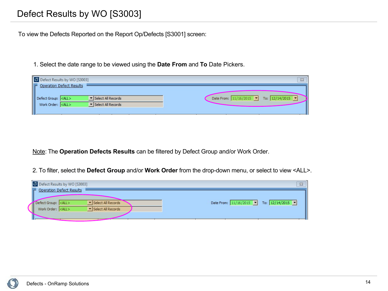#### Front Back Defect Results by WO [S3003]

To view the Defects Reported on the Report Op/Defects [S3001] screen:

1. Select the date range to be viewed using the **Date From** and **To** Date Pickers.

| Defect Results by WO [S3003]                                                                                                                                                            | $\Sigma$                                                                             |
|-----------------------------------------------------------------------------------------------------------------------------------------------------------------------------------------|--------------------------------------------------------------------------------------|
| P Operation Defect Results<br>$\blacktriangleright$ Select All Records<br>Defect Group: <all><br/>Work Order: <all><br/><math>\blacktriangleright</math> Select All Records</all></all> | Date From: $11/16/2015$ $\blacktriangleright$ To: $12/14/2015$ $\blacktriangleright$ |

Note: The **Operation Defects Results** can be filtered by Defect Group and/or Work Order.

2. To filter, select the **Defect Group** and/or **Work Order** from the drop-down menu, or select to view <ALL>.

| Defect Results by WO [S3003]                                                                                                   | $\Sigma$                               |
|--------------------------------------------------------------------------------------------------------------------------------|----------------------------------------|
| Operation Defect Results<br>Select All Records<br>Defect Group: <all><br/>Select All Records<br/>Work Order: <all></all></all> | Date From: 11/16/2015   To: 12/14/2015 |
|                                                                                                                                |                                        |

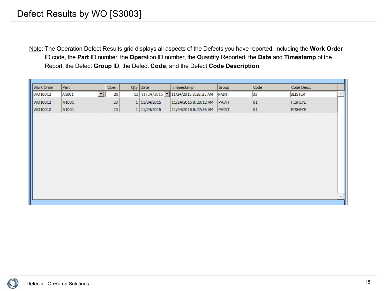Note: The Operation Defect Results grid displays all aspects of the Defects you have reported, including the **Work Order** ID code, the **Part** ID number, the **Oper**ation ID number, the **Q**uan**t**it**y** Reported, the **Date** and **Timestamp** of the Report, the Defect **Group** ID, the Defect **Code**, and the Defect **Code Description**.

| Work Order | Part              | Oper.               |        | Qty Date     | $\triangle$ Timestamp               | Group | Code | Code Desc.     |   |
|------------|-------------------|---------------------|--------|--------------|-------------------------------------|-------|------|----------------|---|
| WO10012    | A <sub>1001</sub> | $\vert \cdot \vert$ | 20     |              | 13 11/24/2015 11/24/2015 8:28:25 AM | PAINT | 03   | <b>BLISTER</b> | 涵 |
| WO10012    | A1001             |                     | 20     | 1 11/24/2015 | 11/24/2015 8:28:12 AM               | PAINT | 01   | <b>FISHEYE</b> |   |
| WO10012    | A1001             |                     | $20\,$ | 1 11/24/2015 | 11/24/2015 8:27:56 AM               | PAINT | 01   | <b>FISHEYE</b> |   |
|            |                   |                     |        |              |                                     |       |      |                |   |
|            |                   |                     |        |              |                                     |       |      |                |   |
|            |                   |                     |        |              |                                     |       |      |                |   |
|            |                   |                     |        |              |                                     |       |      |                |   |
|            |                   |                     |        |              |                                     |       |      |                |   |
|            |                   |                     |        |              |                                     |       |      |                |   |
|            |                   |                     |        |              |                                     |       |      |                |   |
|            |                   |                     |        |              |                                     |       |      |                |   |
|            |                   |                     |        |              |                                     |       |      |                |   |
|            |                   |                     |        |              |                                     |       |      |                |   |
|            |                   |                     |        |              |                                     |       |      |                |   |
|            |                   |                     |        |              |                                     |       |      |                |   |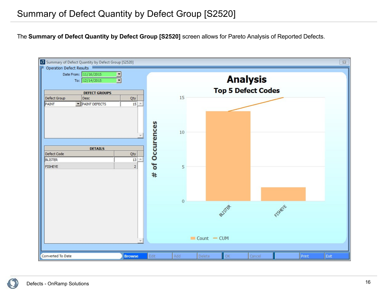The **Summary of Defect Quantity by Defect Group [S2520]** screen allows for Pareto Analysis of Reported Defects.



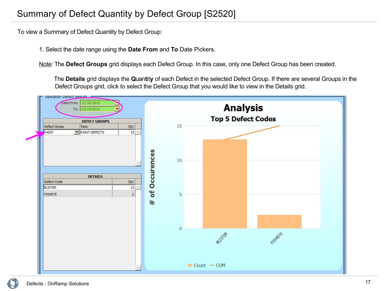#### Front Back Summary of Defect Quantity by Defect Group [S2520]

To view a Summary of Defect Quantity by Defect Group:

1. Select the date range using the **Date From** and **To** Date Pickers.

Note: The **Defect Groups** grid displays each Defect Group. In this case, only one Defect Group has been created.

 The **Details** grid displays the **Q**uan**t**it**y** of each Defect in the selected Defect Group. If there are several Groups in the Defect Groups grid, click to select the Defect Group that you would like to view in the Details grid.



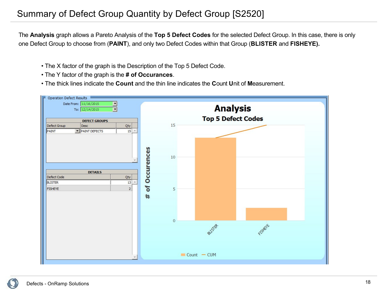#### Front Back Summary of Defect Group Quantity by Defect Group [S2520]

The **Analysis** graph allows a Pareto Analysis of the **Top 5 Defect Codes** for the selected Defect Group. In this case, there is only one Defect Group to choose from (**PAINT**), and only two Defect Codes within that Group (**BLISTER** and **FISHEYE).**

- The X factor of the graph is the Description of the Top 5 Defect Code.
- The Y factor of the graph is the **# of Occurances**.
- The thick lines indicate the **Count** and the thin line indicates the **C**ount **U**nit of **M**easurement.

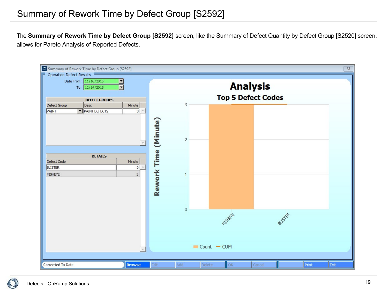The **Summary of Rework Time by Defect Group [S2592]** screen, like the Summary of Defect Quantity by Defect Group [S2520] screen, allows for Pareto Analysis of Reported Defects.



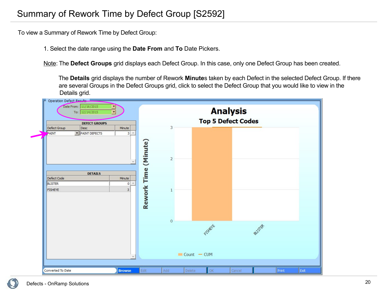#### Front Back Summary of Rework Time by Defect Group [S2592]

To view a Summary of Rework Time by Defect Group:

1. Select the date range using the **Date From** and **To** Date Pickers.

Note: The **Defect Groups** grid displays each Defect Group. In this case, only one Defect Group has been created.

 The **Details** grid displays the number of Rework **Minute**s taken by each Defect in the selected Defect Group. If there are several Groups in the Defect Groups grid, click to select the Defect Group that you would like to view in the Details grid.